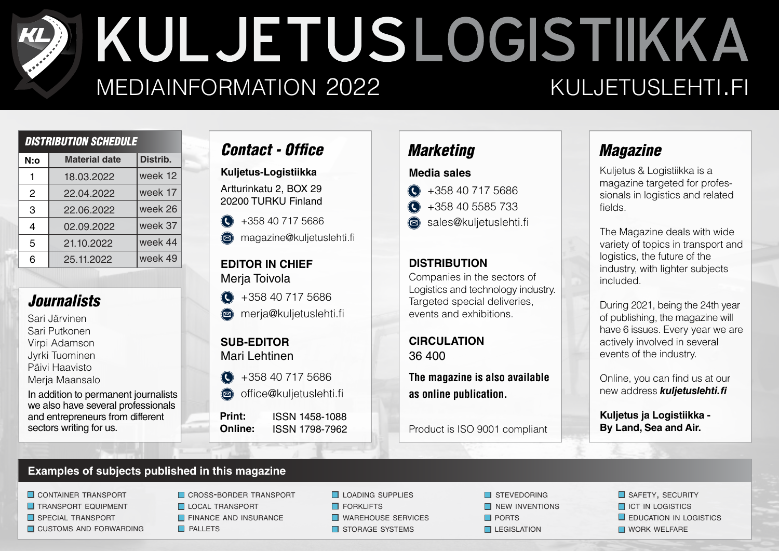# KULJETUSLOGISTIIKKA MEDIAINFORMATION 2022 KULJETUSLEHTI.FI

| <b>DISTRIBUTION SCHEDULE</b> |                      |          |  |  |  |  |  |  |
|------------------------------|----------------------|----------|--|--|--|--|--|--|
| N:o                          | <b>Material date</b> | Distrib. |  |  |  |  |  |  |
| 1                            | 18.03.2022           | week 12  |  |  |  |  |  |  |
| 2                            | 22.04.2022           | week 17  |  |  |  |  |  |  |
| 3                            | 22.06.2022           | week 26  |  |  |  |  |  |  |
| 4                            | 02.09.2022           | week 37  |  |  |  |  |  |  |
| 5                            | 21.10.2022           | week 44  |  |  |  |  |  |  |
| 6                            | 25.11.2022           | week 49  |  |  |  |  |  |  |
|                              |                      |          |  |  |  |  |  |  |

### *Journalists*

Sari Järvinen Sari Putkonen Virpi Adamson Jyrki Tuominen Päivi Haavisto Merja Maansalo

In addition to permanent journalists we also have several professionals and entrepreneurs from different sectors writing for us.

## *Contact - Office*

Artturinkatu 2, BOX 29 20200 TURKU Finland **Kuljetus-Logistiikka**

+358 40 717 5686  $\bigodot$ 

 $\circledR$ magazine@kuljetuslehti.fi

#### **EDITOR IN CHIEF** Merja Toivola

- $\bigodot$ +358 40 717 5686
- **a** merja@kuljetuslehti.fi

**SUB-EDITOR** Mari Lehtinen

- $\bigodot$ +358 40 717 5686
- $\circledR$ office@kuljetuslehti.fi

ISSN 1798-7962 ISSN 1458-1088 **Print: Online:**

### *Marketing*

#### **Media sales**

- +358 40 717 5686  $\bigodot$
- +358 40 5585 733  $\bigodot$ 
	- sales@kuljetuslehti.fi

#### **DISTRIBUTION**

Companies in the sectors of Logistics and technology industry. Targeted special deliveries, events and exhibitions.

36 400 **CIRCULATION**

**The magazine is also available as online publication.**

Product is ISO 9001 compliant

# *Magazine*

Kuljetus & Logistiikka is a magazine targeted for professionals in logistics and related fields.

The Magazine deals with wide variety of topics in transport and logistics, the future of the industry, with lighter subjects included.

During 2021, being the 24th year of publishing, the magazine will have 6 issues. Every year we are actively involved in several events of the industry.

Online, you can find us at our new address *kuljetuslehti.*

**Kuljetus ja Logistiikka - By Land, Sea and Air.**

#### **Examples of subjects published in this magazine**

**CONTAINER TRANSPORT** 

- **TRANSPORT EQUIPMENT**
- SPECIAL TRANSPORT
- $\Box$  CUSTOMS AND FORWARDING  $\Box$  PALLETS

**CROSS-BORDER TRANSPORT LOCAL TRANSPORT FINANCE AND INSURANCE** 

**LOADING SUPPLIES FORKLIFTS** 

WAREHOUSE SERVICES

STORAGE SYSTEMS

 $\Box$  PORTS  $\Box$  LEGISLATION **N** STEVEDORING  $\Box$  NEW INVENTIONS  $\square$  EDUCATION IN LOGISTICS **ID ICT IN LOGISTICS** SAFETY, SECURITY

**NORK WELFARE**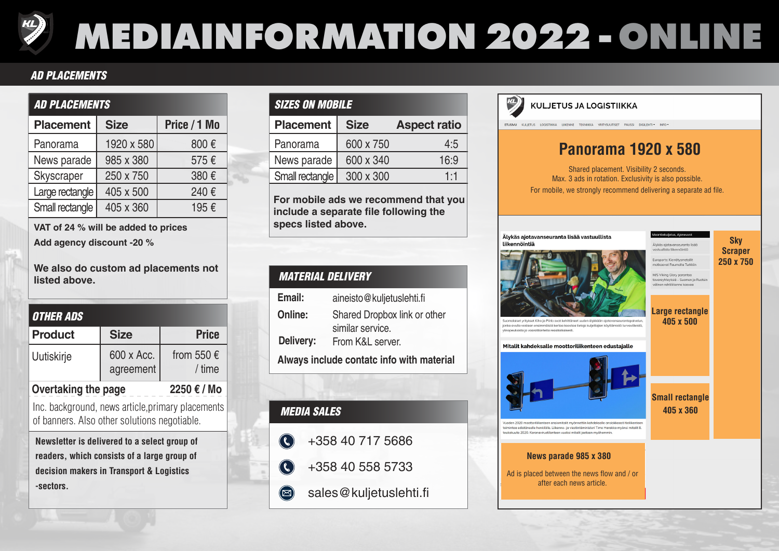# **MEDIAINFORMATION 2022 -ONLINE**

#### *AD PLACEMENTS*

### *AD PLACEMENTS*

| <b>Placement</b> | <b>Size</b> | Price / 1 Mo |  |  |  |  |
|------------------|-------------|--------------|--|--|--|--|
| Panorama         | 1920 x 580  | 800€         |  |  |  |  |
| News parade      | 985 x 380   | 575€         |  |  |  |  |
| Skyscraper       | 250 x 750   | 380€         |  |  |  |  |
| Large rectangle  | 405 x 500   | 240€         |  |  |  |  |
| Small rectangle  | 405 x 360   | 195€         |  |  |  |  |

**VAT of 24 % will be added to prices Add agency discount -20 %**

**We also do custom ad placements not listed above.**

| <b>OTHER ADS</b>    |                         |                                 |  |  |  |  |  |  |
|---------------------|-------------------------|---------------------------------|--|--|--|--|--|--|
| <b>Product</b>      | <b>Size</b>             | <b>Price</b>                    |  |  |  |  |  |  |
| Uutiskirje          | 600 x Acc.<br>agreement | from 550 $\epsilon$<br>$/$ time |  |  |  |  |  |  |
| Overtaking the page | 2250 € / Mo             |                                 |  |  |  |  |  |  |

Inc. background, news article,primary placements of banners. Also other solutions negotiable.

**Newsletter is delivered to a select group of readers, which consists of a large group of decision makers in Transport & Logistics -sectors.**

| <b>SIZES ON MOBILE</b> |             |                     |  |  |  |  |  |  |
|------------------------|-------------|---------------------|--|--|--|--|--|--|
| <b>Placement</b>       | <b>Size</b> | <b>Aspect ratio</b> |  |  |  |  |  |  |
| Panorama               | 600 x 750   | 4:5                 |  |  |  |  |  |  |
| News parade            | 600 x 340   | 16:9                |  |  |  |  |  |  |
| Small rectangle        | 300 x 300   | 1·1                 |  |  |  |  |  |  |

**For mobile ads we recommend that you include a separate file following the specs listed above.**

| <b>MATERIAL DELIVERY</b>                  |                                                  |  |  |  |  |  |  |  |
|-------------------------------------------|--------------------------------------------------|--|--|--|--|--|--|--|
| Email:                                    | aineisto@kuljetuslehti.fi                        |  |  |  |  |  |  |  |
| Online:                                   | Shared Dropbox link or other<br>similar service. |  |  |  |  |  |  |  |
| Delivery:                                 | From K&L server.                                 |  |  |  |  |  |  |  |
| Always include contatc info with material |                                                  |  |  |  |  |  |  |  |

| <b>MEDIA SALES</b>          |
|-----------------------------|
| $\bigodot$ +358 40 717 5686 |
| $\bigodot$ +358 40 558 5733 |
| sales@kuljetuslehti.fi      |